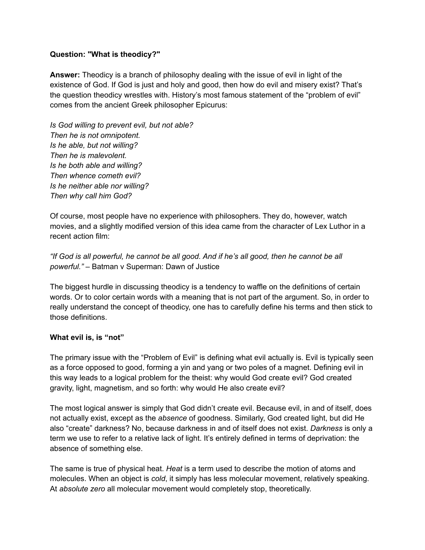### **Question: "What is theodicy?"**

**Answer:** Theodicy is a branch of philosophy dealing with the issue of evil in light of the existence of God. If God is just and holy and good, then how do evil and misery exist? That's the question theodicy wrestles with. History's most famous statement of the "problem of evil" comes from the ancient Greek philosopher Epicurus:

*Is God willing to prevent evil, but not able? Then he is not omnipotent. Is he able, but not willing? Then he is malevolent. Is he both able and willing? Then whence cometh evil? Is he neither able nor willing? Then why call him God?*

Of course, most people have no experience with philosophers. They do, however, watch movies, and a slightly modified version of this idea came from the character of Lex Luthor in a recent action film:

"If God is all powerful, he cannot be all good. And if he's all good, then he cannot be all *powerful."* – Batman v Superman: Dawn of Justice

The biggest hurdle in discussing theodicy is a tendency to waffle on the definitions of certain words. Or to color certain words with a meaning that is not part of the argument. So, in order to really understand the concept of theodicy, one has to carefully define his terms and then stick to those definitions.

#### **What evil is, is "not"**

The primary issue with the "Problem of Evil" is defining what evil actually is. Evil is typically seen as a force opposed to good, forming a yin and yang or two poles of a magnet. Defining evil in this way leads to a logical problem for the theist: why would God create evil? God created gravity, light, magnetism, and so forth: why would He also create evil?

The most logical answer is simply that God didn't create evil. Because evil, in and of itself, does not actually exist, except as the *absence* of goodness. Similarly, God created light, but did He also "create" darkness? No, because darkness in and of itself does not exist. *Darkness* is only a term we use to refer to a relative lack of light. It's entirely defined in terms of deprivation: the absence of something else.

The same is true of physical heat. *Heat* is a term used to describe the motion of atoms and molecules. When an object is *cold*, it simply has less molecular movement, relatively speaking. At *absolute zero* all molecular movement would completely stop, theoretically.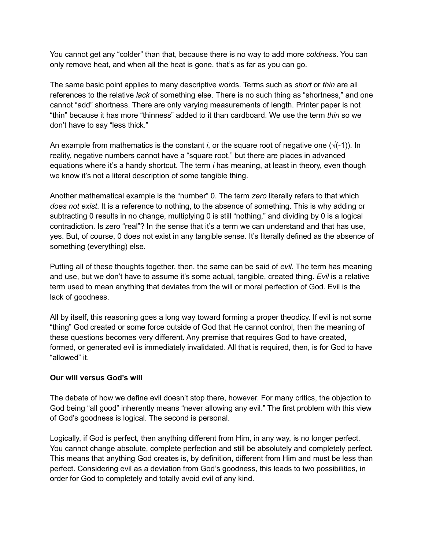You cannot get any "colder" than that, because there is no way to add more *coldness*. You can only remove heat, and when all the heat is gone, that's as far as you can go.

The same basic point applies to many descriptive words. Terms such as *short* or *thin* are all references to the relative *lack* of something else. There is no such thing as "shortness," and one cannot "add" shortness. There are only varying measurements of length. Printer paper is not "thin" because it has more "thinness" added to it than cardboard. We use the term *thin* so we don't have to say "less thick."

An example from mathematics is the constant *i*, or the square root of negative one  $(\sqrt{(-1)})$ . In reality, negative numbers cannot have a "square root," but there are places in advanced equations where it's a handy shortcut. The term *i* has meaning, at least in theory, even though we know it's not a literal description of some tangible thing.

Another mathematical example is the "number" 0. The term *zero* literally refers to that which *does not exist*. It is a reference to nothing, to the absence of something. This is why adding or subtracting 0 results in no change, multiplying 0 is still "nothing," and dividing by 0 is a logical contradiction. Is zero "real"? In the sense that it's a term we can understand and that has use, yes. But, of course, 0 does not exist in any tangible sense. It's literally defined as the absence of something (everything) else.

Putting all of these thoughts together, then, the same can be said of *evil*. The term has meaning and use, but we don't have to assume it's some actual, tangible, created thing. *Evil* is a relative term used to mean anything that deviates from the will or moral perfection of God. Evil is the lack of goodness.

All by itself, this reasoning goes a long way toward forming a proper theodicy. If evil is not some "thing" God created or some force outside of God that He cannot control, then the meaning of these questions becomes very different. Any premise that requires God to have created, formed, or generated evil is immediately invalidated. All that is required, then, is for God to have "allowed" it.

#### **Our will versus God's will**

The debate of how we define evil doesn't stop there, however. For many critics, the objection to God being "all good" inherently means "never allowing any evil." The first problem with this view of God's goodness is logical. The second is personal.

Logically, if God is perfect, then anything different from Him, in any way, is no longer perfect. You cannot change absolute, complete perfection and still be absolutely and completely perfect. This means that anything God creates is, by definition, different from Him and must be less than perfect. Considering evil as a deviation from God's goodness, this leads to two possibilities, in order for God to completely and totally avoid evil of any kind.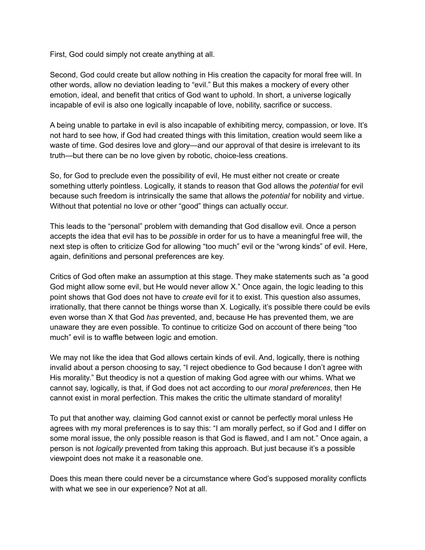First, God could simply not create anything at all.

Second, God could create but allow nothing in His creation the capacity for moral free will. In other words, allow no deviation leading to "evil." But this makes a mockery of every other emotion, ideal, and benefit that critics of God want to uphold. In short, a universe logically incapable of evil is also one logically incapable of love, nobility, sacrifice or success.

A being unable to partake in evil is also incapable of exhibiting mercy, compassion, or love. It's not hard to see how, if God had created things with this limitation, creation would seem like a waste of time. God desires love and glory—and our approval of that desire is irrelevant to its truth—but there can be no love given by robotic, choice-less creations.

So, for God to preclude even the possibility of evil, He must either not create or create something utterly pointless. Logically, it stands to reason that God allows the *potential* for evil because such freedom is intrinsically the same that allows the *potential* for nobility and virtue. Without that potential no love or other "good" things can actually occur.

This leads to the "personal" problem with demanding that God disallow evil. Once a person accepts the idea that evil has to be *possible* in order for us to have a meaningful free will, the next step is often to criticize God for allowing "too much" evil or the "wrong kinds" of evil. Here, again, definitions and personal preferences are key.

Critics of God often make an assumption at this stage. They make statements such as "a good God might allow some evil, but He would never allow X." Once again, the logic leading to this point shows that God does not have to *create* evil for it to exist. This question also assumes, irrationally, that there cannot be things worse than X. Logically, it's possible there could be evils even worse than X that God *has* prevented, and, because He has prevented them, we are unaware they are even possible. To continue to criticize God on account of there being "too much" evil is to waffle between logic and emotion.

We may not like the idea that God allows certain kinds of evil. And, logically, there is nothing invalid about a person choosing to say, "I reject obedience to God because I don't agree with His morality." But theodicy is not a question of making God agree with our whims. What we cannot say, logically, is that, if God does not act according to our *moral preferences*, then He cannot exist in moral perfection. This makes the critic the ultimate standard of morality!

To put that another way, claiming God cannot exist or cannot be perfectly moral unless He agrees with my moral preferences is to say this: "I am morally perfect, so if God and I differ on some moral issue, the only possible reason is that God is flawed, and I am not." Once again, a person is not *logically* prevented from taking this approach. But just because it's a possible viewpoint does not make it a reasonable one.

Does this mean there could never be a circumstance where God's supposed morality conflicts with what we see in our experience? Not at all.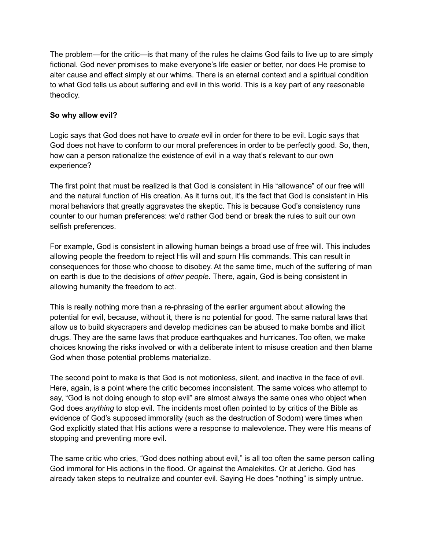The problem—for the critic—is that many of the rules he claims God fails to live up to are simply fictional. God never promises to make everyone's life easier or better, nor does He promise to alter cause and effect simply at our whims. There is an eternal context and a spiritual condition to what God tells us about suffering and evil in this world. This is a key part of any reasonable theodicy.

# **So why allow evil?**

Logic says that God does not have to *create* evil in order for there to be evil. Logic says that God does not have to conform to our moral preferences in order to be perfectly good. So, then, how can a person rationalize the existence of evil in a way that's relevant to our own experience?

The first point that must be realized is that God is consistent in His "allowance" of our free will and the natural function of His creation. As it turns out, it's the fact that God is consistent in His moral behaviors that greatly aggravates the skeptic. This is because God's consistency runs counter to our human preferences: we'd rather God bend or break the rules to suit our own selfish preferences.

For example, God is consistent in allowing human beings a broad use of free will. This includes allowing people the freedom to reject His will and spurn His commands. This can result in consequences for those who choose to disobey. At the same time, much of the suffering of man on earth is due to the decisions of *other people*. There, again, God is being consistent in allowing humanity the freedom to act.

This is really nothing more than a re-phrasing of the earlier argument about allowing the potential for evil, because, without it, there is no potential for good. The same natural laws that allow us to build skyscrapers and develop medicines can be abused to make bombs and illicit drugs. They are the same laws that produce earthquakes and hurricanes. Too often, we make choices knowing the risks involved or with a deliberate intent to misuse creation and then blame God when those potential problems materialize.

The second point to make is that God is not motionless, silent, and inactive in the face of evil. Here, again, is a point where the critic becomes inconsistent. The same voices who attempt to say, "God is not doing enough to stop evil" are almost always the same ones who object when God does *anything* to stop evil. The incidents most often pointed to by critics of the Bible as evidence of God's supposed immorality (such as the destruction of Sodom) were times when God explicitly stated that His actions were a response to malevolence. They were His means of stopping and preventing more evil.

The same critic who cries, "God does nothing about evil," is all too often the same person calling God immoral for His actions in the flood. Or against the Amalekites. Or at Jericho. God has already taken steps to neutralize and counter evil. Saying He does "nothing" is simply untrue.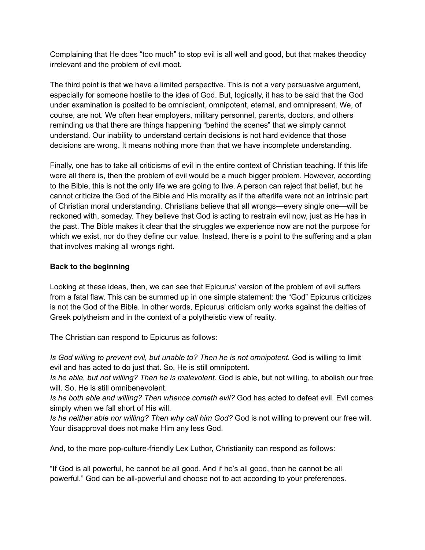Complaining that He does "too much" to stop evil is all well and good, but that makes theodicy irrelevant and the problem of evil moot.

The third point is that we have a limited perspective. This is not a very persuasive argument, especially for someone hostile to the idea of God. But, logically, it has to be said that the God under examination is posited to be omniscient, omnipotent, eternal, and omnipresent. We, of course, are not. We often hear employers, military personnel, parents, doctors, and others reminding us that there are things happening "behind the scenes" that we simply cannot understand. Our inability to understand certain decisions is not hard evidence that those decisions are wrong. It means nothing more than that we have incomplete understanding.

Finally, one has to take all criticisms of evil in the entire context of Christian teaching. If this life were all there is, then the problem of evil would be a much bigger problem. However, according to the Bible, this is not the only life we are going to live. A person can reject that belief, but he cannot criticize the God of the Bible and His morality as if the afterlife were not an intrinsic part of Christian moral understanding. Christians believe that all wrongs—every single one—will be reckoned with, someday. They believe that God is acting to restrain evil now, just as He has in the past. The Bible makes it clear that the struggles we experience now are not the purpose for which we exist, nor do they define our value. Instead, there is a point to the suffering and a plan that involves making all wrongs right.

## **Back to the beginning**

Looking at these ideas, then, we can see that Epicurus' version of the problem of evil suffers from a fatal flaw. This can be summed up in one simple statement: the "God" Epicurus criticizes is not the God of the Bible. In other words, Epicurus' criticism only works against the deities of Greek polytheism and in the context of a polytheistic view of reality.

The Christian can respond to Epicurus as follows:

*Is God willing to prevent evil, but unable to? Then he is not omnipotent.* God is willing to limit evil and has acted to do just that. So, He is still omnipotent.

*Is he able, but not willing? Then he is malevolent.* God is able, but not willing, to abolish our free will. So, He is still omnibenevolent.

*Is he both able and willing? Then whence cometh evil?* God has acted to defeat evil. Evil comes simply when we fall short of His will.

*Is he neither able nor willing? Then why call him God?* God is not willing to prevent our free will. Your disapproval does not make Him any less God.

And, to the more pop-culture-friendly Lex Luthor, Christianity can respond as follows:

"If God is all powerful, he cannot be all good. And if he's all good, then he cannot be all powerful." God can be all-powerful and choose not to act according to your preferences.